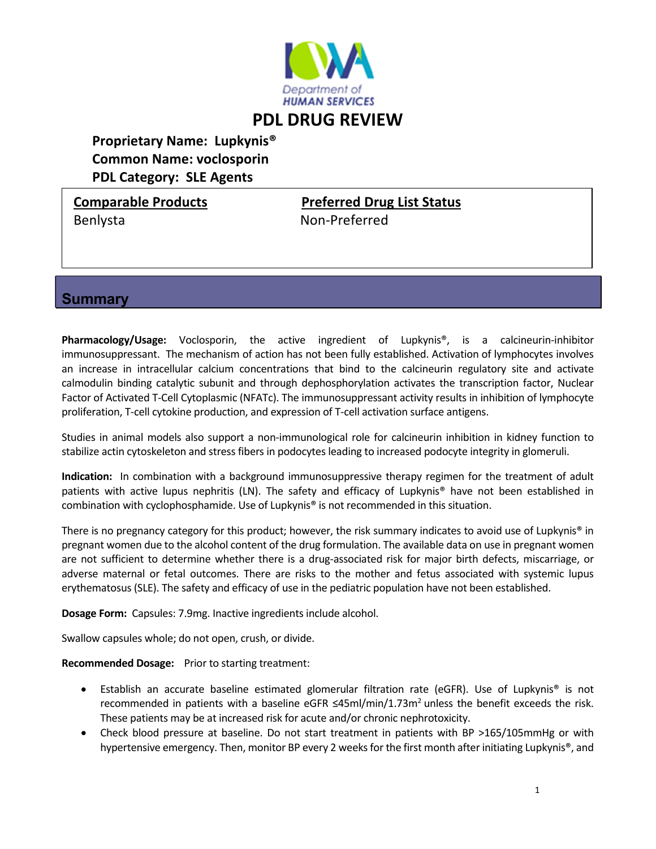

# **Proprietary Name: Lupkynis® Common Name: voclosporin PDL Category: SLE Agents**

### **Comparable Products Preferred Drug List Status**

Benlysta Non‐Preferred

## **Summary**

**Pharmacology/Usage:** Voclosporin, the active ingredient of Lupkynis®, is a calcineurin‐inhibitor immunosuppressant. The mechanism of action has not been fully established. Activation of lymphocytes involves an increase in intracellular calcium concentrations that bind to the calcineurin regulatory site and activate calmodulin binding catalytic subunit and through dephosphorylation activates the transcription factor, Nuclear Factor of Activated T‐Cell Cytoplasmic (NFATc). The immunosuppressant activity results in inhibition of lymphocyte proliferation, T-cell cytokine production, and expression of T-cell activation surface antigens.

Studies in animal models also support a non‐immunological role for calcineurin inhibition in kidney function to stabilize actin cytoskeleton and stress fibers in podocytes leading to increased podocyte integrity in glomeruli.

**Indication:** In combination with a background immunosuppressive therapy regimen for the treatment of adult patients with active lupus nephritis (LN). The safety and efficacy of Lupkynis® have not been established in combination with cyclophosphamide. Use of Lupkynis® is not recommended in this situation.

There is no pregnancy category for this product; however, the risk summary indicates to avoid use of Lupkynis® in pregnant women due to the alcohol content of the drug formulation. The available data on use in pregnant women are not sufficient to determine whether there is a drug-associated risk for major birth defects, miscarriage, or adverse maternal or fetal outcomes. There are risks to the mother and fetus associated with systemic lupus erythematosus(SLE). The safety and efficacy of use in the pediatric population have not been established.

**Dosage Form:** Capsules: 7.9mg. Inactive ingredients include alcohol.

Swallow capsules whole; do not open, crush, or divide.

**Recommended Dosage:** Prior to starting treatment:

- Establish an accurate baseline estimated glomerular filtration rate (eGFR). Use of Lupkynis® is not recommended in patients with a baseline eGFR ≤45ml/min/1.73m<sup>2</sup> unless the benefit exceeds the risk. These patients may be at increased risk for acute and/or chronic nephrotoxicity.
- Check blood pressure at baseline. Do not start treatment in patients with BP >165/105mmHg or with hypertensive emergency. Then, monitor BP every 2 weeks for the first month after initiating Lupkynis®, and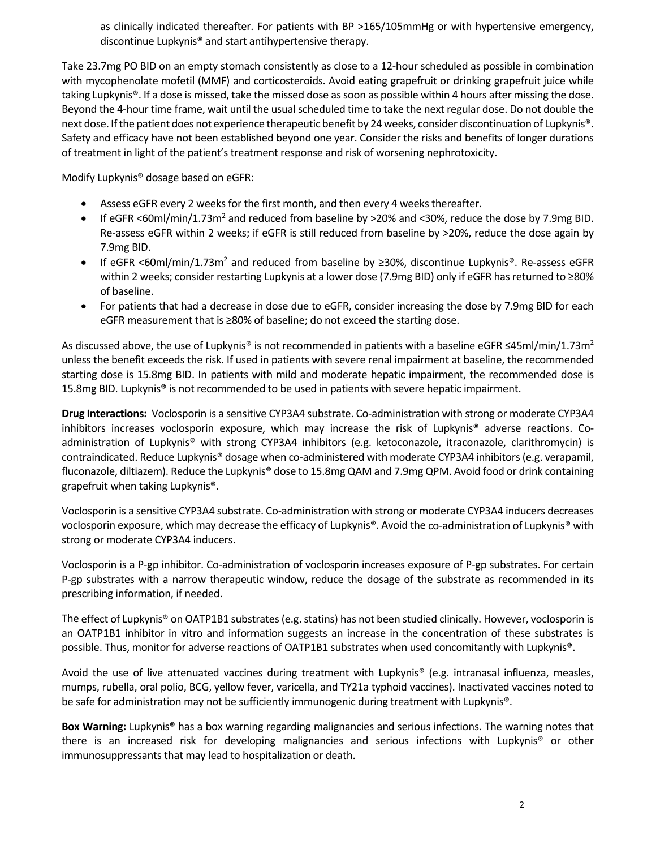as clinically indicated thereafter. For patients with BP >165/105mmHg or with hypertensive emergency, discontinue Lupkynis® and start antihypertensive therapy.

Take 23.7mg PO BID on an empty stomach consistently as close to a 12‐hour scheduled as possible in combination with mycophenolate mofetil (MMF) and corticosteroids. Avoid eating grapefruit or drinking grapefruit juice while taking Lupkynis®. If a dose is missed, take the missed dose as soon as possible within 4 hours after missing the dose. Beyond the 4-hour time frame, wait until the usual scheduled time to take the next regular dose. Do not double the next dose. Ifthe patient does not experience therapeutic benefit by 24 weeks, consider discontinuation of Lupkynis®. Safety and efficacy have not been established beyond one year. Consider the risks and benefits of longer durations of treatment in light of the patient's treatment response and risk of worsening nephrotoxicity.

Modify Lupkynis® dosage based on eGFR:

- Assess eGFR every 2 weeks for the first month, and then every 4 weeks thereafter.
- **If eGFR <60ml/min/1.73m<sup>2</sup>** and reduced from baseline by >20% and <30%, reduce the dose by 7.9mg BID. Re-assess eGFR within 2 weeks; if eGFR is still reduced from baseline by >20%, reduce the dose again by 7.9mg BID.
- $\bullet$  If eGFR <60ml/min/1.73m<sup>2</sup> and reduced from baseline by ≥30%, discontinue Lupkynis®. Re-assess eGFR within 2 weeks; consider restarting Lupkynis at a lower dose (7.9mg BID) only if eGFR has returned to ≥80% of baseline.
- For patients that had a decrease in dose due to eGFR, consider increasing the dose by 7.9mg BID for each eGFR measurement that is ≥80% of baseline; do not exceed the starting dose.

As discussed above, the use of Lupkynis® is not recommended in patients with a baseline eGFR ≤45ml/min/1.73m<sup>2</sup> unless the benefit exceeds the risk. If used in patients with severe renal impairment at baseline, the recommended starting dose is 15.8mg BID. In patients with mild and moderate hepatic impairment, the recommended dose is 15.8mg BID. Lupkynis® is not recommended to be used in patients with severe hepatic impairment.

**Drug Interactions:** Voclosporin is a sensitive CYP3A4 substrate. Co‐administration with strong or moderate CYP3A4 inhibitors increases voclosporin exposure, which may increase the risk of Lupkynis® adverse reactions. Co‐ administration of Lupkynis® with strong CYP3A4 inhibitors (e.g. ketoconazole, itraconazole, clarithromycin) is contraindicated. Reduce Lupkynis® dosage when co‐administered with moderate CYP3A4 inhibitors(e.g. verapamil, fluconazole, diltiazem). Reduce the Lupkynis® dose to 15.8mg QAM and 7.9mg QPM. Avoid food or drink containing grapefruit when taking Lupkynis®.

Voclosporin is a sensitive CYP3A4 substrate. Co‐administration with strong or moderate CYP3A4 inducers decreases voclosporin exposure, which may decrease the efficacy of Lupkynis®. Avoid the co-administration of Lupkynis® with strong or moderate CYP3A4 inducers.

Voclosporin is a P‐gp inhibitor. Co‐administration of voclosporin increases exposure of P‐gp substrates. For certain P‐gp substrates with a narrow therapeutic window, reduce the dosage of the substrate as recommended in its prescribing information, if needed.

The effect of Lupkynis® on OATP1B1 substrates (e.g. statins) has not been studied clinically. However, voclosporin is an OATP1B1 inhibitor in vitro and information suggests an increase in the concentration of these substrates is possible. Thus, monitor for adverse reactions of OATP1B1 substrates when used concomitantly with Lupkynis®.

Avoid the use of live attenuated vaccines during treatment with Lupkynis® (e.g. intranasal influenza, measles, mumps, rubella, oral polio, BCG, yellow fever, varicella, and TY21a typhoid vaccines). Inactivated vaccines noted to be safe for administration may not be sufficiently immunogenic during treatment with Lupkynis®.

**Box Warning:** Lupkynis® has a box warning regarding malignancies and serious infections. The warning notes that there is an increased risk for developing malignancies and serious infections with Lupkynis® or other immunosuppressants that may lead to hospitalization or death.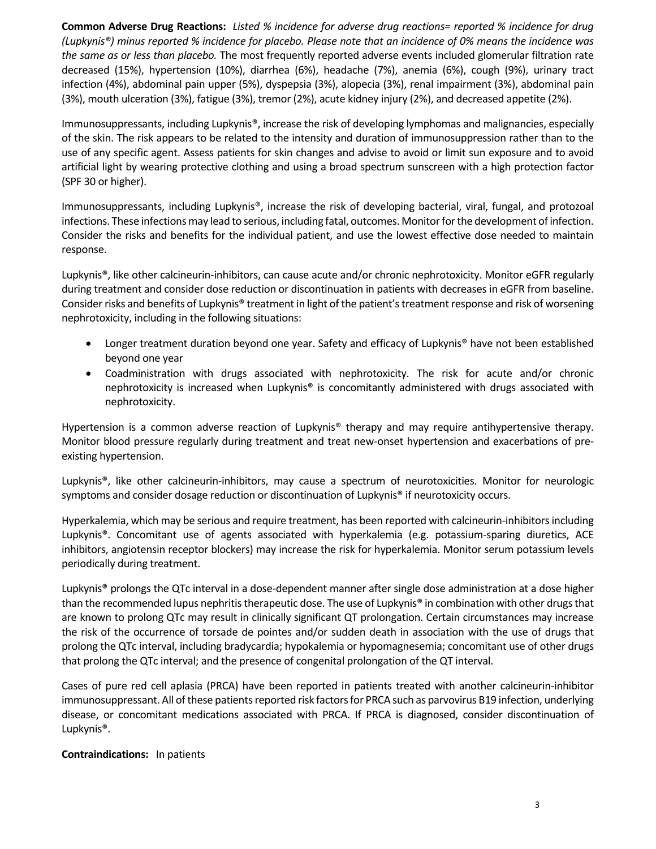Common Adverse Drug Reactions: Listed % incidence for adverse drug reactions= reported % incidence for drug (Lupkynis®) minus reported % incidence for placebo. Please note that an incidence of 0% means the incidence was *the same as or less than placebo.* The most frequently reported adverse events included glomerular filtration rate decreased (15%), hypertension (10%), diarrhea (6%), headache (7%), anemia (6%), cough (9%), urinary tract infection (4%), abdominal pain upper (5%), dyspepsia (3%), alopecia (3%), renal impairment (3%), abdominal pain (3%), mouth ulceration (3%), fatigue (3%), tremor (2%), acute kidney injury (2%), and decreased appetite (2%).

Immunosuppressants, including Lupkynis®, increase the risk of developing lymphomas and malignancies, especially of the skin. The risk appears to be related to the intensity and duration of immunosuppression rather than to the use of any specific agent. Assess patients for skin changes and advise to avoid or limit sun exposure and to avoid artificial light by wearing protective clothing and using a broad spectrum sunscreen with a high protection factor (SPF 30 or higher).

Immunosuppressants, including Lupkynis®, increase the risk of developing bacterial, viral, fungal, and protozoal infections. These infections may lead to serious, including fatal, outcomes. Monitor for the development of infection. Consider the risks and benefits for the individual patient, and use the lowest effective dose needed to maintain response.

Lupkynis®, like other calcineurin‐inhibitors, can cause acute and/or chronic nephrotoxicity. Monitor eGFR regularly during treatment and consider dose reduction or discontinuation in patients with decreases in eGFR from baseline. Consider risks and benefits of Lupkynis® treatment in light of the patient's treatment response and risk of worsening nephrotoxicity, including in the following situations:

- Longer treatment duration beyond one year. Safety and efficacy of Lupkynis<sup>®</sup> have not been established beyond one year
- Coadministration with drugs associated with nephrotoxicity. The risk for acute and/or chronic nephrotoxicity is increased when Lupkynis® is concomitantly administered with drugs associated with nephrotoxicity.

Hypertension is a common adverse reaction of Lupkynis® therapy and may require antihypertensive therapy. Monitor blood pressure regularly during treatment and treat new-onset hypertension and exacerbations of preexisting hypertension.

Lupkynis®, like other calcineurin‐inhibitors, may cause a spectrum of neurotoxicities. Monitor for neurologic symptoms and consider dosage reduction or discontinuation of Lupkynis® if neurotoxicity occurs.

Hyperkalemia, which may be serious and require treatment, has been reported with calcineurin‐inhibitorsincluding Lupkynis®. Concomitant use of agents associated with hyperkalemia (e.g. potassium‐sparing diuretics, ACE inhibitors, angiotensin receptor blockers) may increase the risk for hyperkalemia. Monitor serum potassium levels periodically during treatment.

Lupkynis<sup>®</sup> prolongs the QTc interval in a dose-dependent manner after single dose administration at a dose higher than the recommended lupus nephritis therapeutic dose. The use of Lupkynis® in combination with other drugs that are known to prolong QTc may result in clinically significant QT prolongation. Certain circumstances may increase the risk of the occurrence of torsade de pointes and/or sudden death in association with the use of drugs that prolong the QTc interval, including bradycardia; hypokalemia or hypomagnesemia; concomitant use of other drugs that prolong the QTc interval; and the presence of congenital prolongation of the QT interval.

Cases of pure red cell aplasia (PRCA) have been reported in patients treated with another calcineurin‐inhibitor immunosuppressant. All of these patients reported risk factors for PRCA such as parvovirus B19 infection, underlying disease, or concomitant medications associated with PRCA. If PRCA is diagnosed, consider discontinuation of Lupkynis®.

#### **Contraindications:**  In patients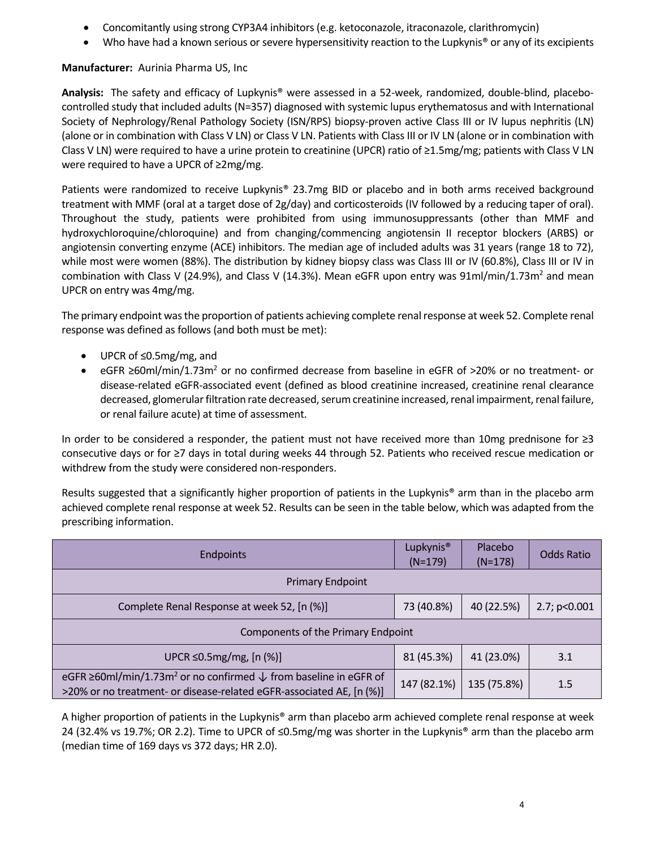- Concomitantly using strong CYP3A4 inhibitors (e.g. ketoconazole, itraconazole, clarithromycin)
- Who have had a known serious or severe hypersensitivity reaction to the Lupkynis<sup>®</sup> or any of its excipients

#### **Manufacturer:** Aurinia Pharma US, Inc

**Analysis:** The safety and efficacy of Lupkynis® were assessed in a 52‐week, randomized, double‐blind, placebo‐ controlled study that included adults (N=357) diagnosed with systemic lupus erythematosus and with International Society of Nephrology/Renal Pathology Society (ISN/RPS) biopsy‐proven active Class III or IV lupus nephritis (LN) (alone or in combination with Class V LN) or Class V LN. Patients with Class III or IV LN (alone or in combination with Class V LN) were required to have a urine protein to creatinine (UPCR) ratio of ≥1.5mg/mg; patients with Class V LN were required to have a UPCR of ≥2mg/mg.

Patients were randomized to receive Lupkynis® 23.7mg BID or placebo and in both arms received background treatment with MMF (oral at a target dose of 2g/day) and corticosteroids (IV followed by a reducing taper of oral). Throughout the study, patients were prohibited from using immunosuppressants (other than MMF and hydroxychloroquine/chloroquine) and from changing/commencing angiotensin II receptor blockers (ARBS) or angiotensin converting enzyme (ACE) inhibitors. The median age of included adults was 31 years (range 18 to 72), while most were women (88%). The distribution by kidney biopsy class was Class III or IV (60.8%), Class III or IV in combination with Class V (24.9%), and Class V (14.3%). Mean eGFR upon entry was  $91ml/min/1.73m<sup>2</sup>$  and mean UPCR on entry was 4mg/mg.

The primary endpoint was the proportion of patients achieving complete renal response at week 52. Complete renal response was defined as follows (and both must be met):

- UPCR of ≤0.5mg/mg, and
- eGFR ≥60ml/min/1.73m<sup>2</sup> or no confirmed decrease from baseline in eGFR of >20% or no treatment- or disease‐related eGFR‐associated event (defined as blood creatinine increased, creatinine renal clearance decreased, glomerular filtration rate decreased, serum creatinine increased, renal impairment, renal failure, or renal failure acute) at time of assessment.

In order to be considered a responder, the patient must not have received more than 10mg prednisone for ≥3 consecutive days or for ≥7 days in total during weeks 44 through 52. Patients who received rescue medication or withdrew from the study were considered non‐responders.

Results suggested that a significantly higher proportion of patients in the Lupkynis® arm than in the placebo arm achieved complete renal response at week 52. Results can be seen in the table below, which was adapted from the prescribing information.

| <b>Endpoints</b>                                                                                                                                                      | Lupkynis <sup>®</sup><br>$(N=179)$ | Placebo<br>$(N=178)$ | <b>Odds Ratio</b> |
|-----------------------------------------------------------------------------------------------------------------------------------------------------------------------|------------------------------------|----------------------|-------------------|
| <b>Primary Endpoint</b>                                                                                                                                               |                                    |                      |                   |
| Complete Renal Response at week 52, [n (%)]                                                                                                                           | 73 (40.8%)                         | 40 (22.5%)           | 2.7; p<0.001      |
| Components of the Primary Endpoint                                                                                                                                    |                                    |                      |                   |
| UPCR $\leq$ 0.5mg/mg, [n (%)]                                                                                                                                         | 81 (45.3%)                         | 41 (23.0%)           | 3.1               |
| eGFR $\geq$ 60ml/min/1.73m <sup>2</sup> or no confirmed $\downarrow$ from baseline in eGFR of<br>>20% or no treatment- or disease-related eGFR-associated AE, [n (%)] | 147 (82.1%)                        | 135 (75.8%)          | 1.5               |

A higher proportion of patients in the Lupkynis® arm than placebo arm achieved complete renal response at week 24 (32.4% vs 19.7%; OR 2.2). Time to UPCR of ≤0.5mg/mg was shorter in the Lupkynis® arm than the placebo arm (median time of 169 days vs 372 days; HR 2.0).